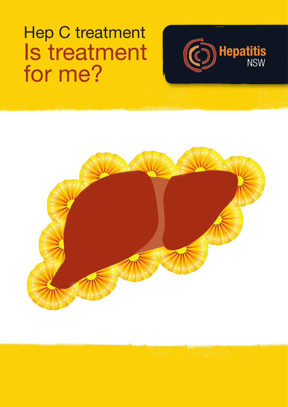# Hep C treatment Is treatment for me?



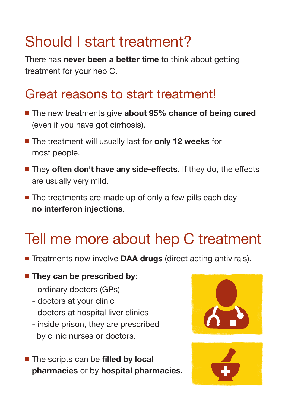## Should I start treatment?

There has **never been a better time** to think about getting treatment for your hep C.

## Great reasons to start treatment!

- The new treatments give **about 95% chance of being cured** (even if you have got cirrhosis).
- The treatment will usually last for **only 12 weeks** for most people.
- **They often don't have any side-effects**. If they do, the effects are usually very mild.
- The treatments are made up of only a few pills each day **no interferon injections**.

## Tell me more about hep C treatment

- **Treatments now involve DAA drugs (direct acting antivirals).**
- **They can be prescribed by:** 
	- ordinary doctors (GPs)
	- doctors at your clinic
	- doctors at hospital liver clinics
	- inside prison, they are prescribed by clinic nurses or doctors.
- The scripts can be **filled by local pharmacies** or by **hospital pharmacies.**



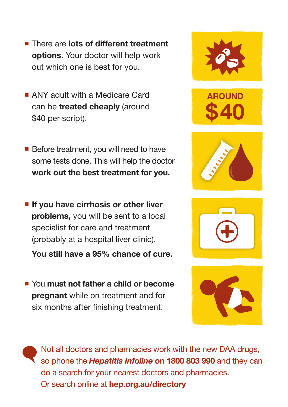- There are **lots of different treatment options.** Your doctor will help work out which one is best for you.
- ANY adult with a Medicare Card can be **treated cheaply** (around \$40 per script).
- Before treatment, you will need to have some tests done. This will help the doctor **work out the best treatment for you.**
- If you have cirrhosis or other liver **problems,** you will be sent to a local specialist for care and treatment (probably at a hospital liver clinic).

**You still have a 95% chance of cure.**

You **must not father a child or become pregnant** while on treatment and for six months after finishing treatment.



Not all doctors and pharmacies work with the new DAA drugs, so phone the *Hepatitis Infoline* **on 1800 803 990** and they can do a search for your nearest doctors and pharmacies. Or search online at **hep.org.au/directory**